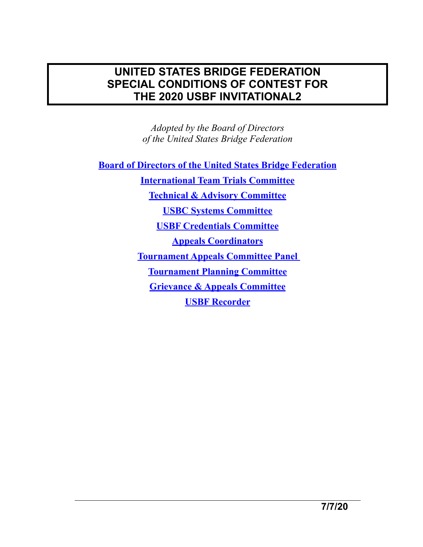## **UNITED STATES BRIDGE FEDERATION SPECIAL CONDITIONS OF CONTEST FOR THE 2020 USBF INVITATIONAL2**

*Adopted by the Board of Directors of the United States Bridge Federation* 

**[Board of Directors of the United States Bridge Federation](http://www.usbf.org/usbf-operations/board-of-directors)**

**[International Team Trials Committee](http://www.usbf.org/usbf-committees/ittc)  [Technical & Advisory Committee](https://usbf.org/usbf-committees/usbf-tournament-technical-and-advisory-committee) [USBC Systems Committee](https://usbf.org/usbf-committees/usbf-tournament-systems-committee) [USBF Credentials Committee](http://www.usbf.org/usbf-committees/credentials-committee) [Appeals Coordinators](https://usbf.org/usbf-committees/tournament-appeals-committee) [Tournament Appeals Committee Panel](http://usbf.org/usbf-committees/tournament-appeals-committee-panel)  [Tournament Planning Committee](http://www.usbf.org/usbf-committees/tournament-planning-committee) [Grievance & Appeals Committee](http://www.usbf.org/usbf-committees/grievance-a-appeals-committee) [USBF Recorder](http://www.usbf.org/usbf-committees/usbf-recorder)**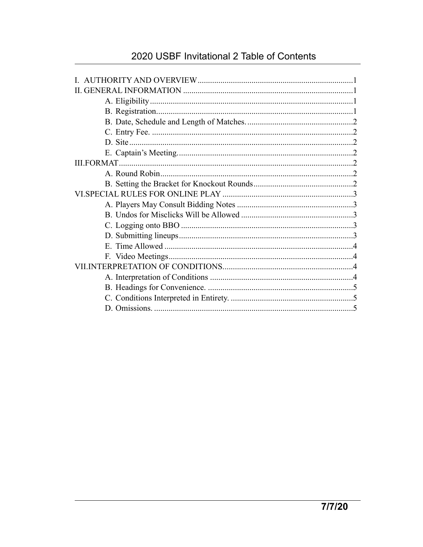## 2020 USBF Invitational 2 Table of Contents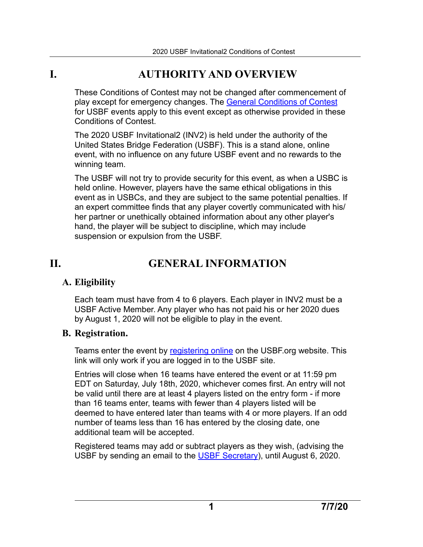## **I. AUTHORITY AND OVERVIEW**

<span id="page-2-0"></span>These Conditions of Contest may not be changed after commencement of play except for emergency changes. The [General Conditions of Contest](http://usbf.org/docs/COC/General-CoC.pdf) for USBF events apply to this event except as otherwise provided in these Conditions of Contest.

The 2020 USBF Invitational2 (INV2) is held under the authority of the United States Bridge Federation (USBF). This is a stand alone, online event, with no influence on any future USBF event and no rewards to the winning team.

The USBF will not try to provide security for this event, as when a USBC is held online. However, players have the same ethical obligations in this event as in USBCs, and they are subject to the same potential penalties. If an expert committee finds that any player covertly communicated with his/ her partner or unethically obtained information about any other player's hand, the player will be subject to discipline, which may include suspension or expulsion from the USBF.

# **II. GENERAL INFORMATION**

## <span id="page-2-2"></span>**A. Eligibility**

<span id="page-2-1"></span>Each team must have from 4 to 6 players. Each player in INV2 must be a USBF Active Member. Any player who has not paid his or her 2020 dues by August 1, 2020 will not be eligible to play in the event.

## <span id="page-2-3"></span>**B. Registration.**

Teams enter the event by [registering online](https://usbf.org/about-usbf/enter-usbf-invitational-2) on the USBF org website. This link will only work if you are logged in to the USBF site.

Entries will close when 16 teams have entered the event or at 11:59 pm EDT on Saturday, July 18th, 2020, whichever comes first. An entry will not be valid until there are at least 4 players listed on the entry form - if more than 16 teams enter, teams with fewer than 4 players listed will be deemed to have entered later than teams with 4 or more players. If an odd number of teams less than 16 has entered by the closing date, one additional team will be accepted.

Registered teams may add or subtract players as they wish, (advising the USBF by sending an email to the [USBF Secretary](mailto:marteljan@gmail.com?subject=INV2%20roster%20change)), until August 6, 2020.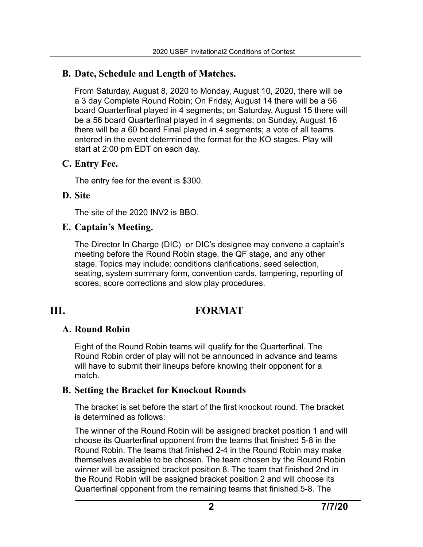## <span id="page-3-0"></span>**B. Date, Schedule and Length of Matches.**

From Saturday, August 8, 2020 to Monday, August 10, 2020, there will be a 3 day Complete Round Robin; On Friday, August 14 there will be a 56 board Quarterfinal played in 4 segments; on Saturday, August 15 there will be a 56 board Quarterfinal played in 4 segments; on Sunday, August 16 there will be a 60 board Final played in 4 segments; a vote of all teams entered in the event determined the format for the KO stages. Play will start at 2:00 pm EDT on each day.

#### <span id="page-3-1"></span>**C. Entry Fee.**

The entry fee for the event is \$300.

## <span id="page-3-2"></span>**D. Site**

The site of the 2020 INV2 is BBO.

## <span id="page-3-3"></span>**E. Captain's Meeting.**

The Director In Charge (DIC) or DIC's designee may convene a captain's meeting before the Round Robin stage, the QF stage, and any other stage. Topics may include: conditions clarifications, seed selection, seating, system summary form, convention cards, tampering, reporting of scores, score corrections and slow play procedures.

## **III. FORMAT**

## <span id="page-3-5"></span>**A. Round Robin**

<span id="page-3-4"></span>Eight of the Round Robin teams will qualify for the Quarterfinal. The Round Robin order of play will not be announced in advance and teams will have to submit their lineups before knowing their opponent for a match.

## <span id="page-3-6"></span>**B. Setting the Bracket for Knockout Rounds**

The bracket is set before the start of the first knockout round. The bracket is determined as follows:

The winner of the Round Robin will be assigned bracket position 1 and will choose its Quarterfinal opponent from the teams that finished 5-8 in the Round Robin. The teams that finished 2-4 in the Round Robin may make themselves available to be chosen. The team chosen by the Round Robin winner will be assigned bracket position 8. The team that finished 2nd in the Round Robin will be assigned bracket position 2 and will choose its Quarterfinal opponent from the remaining teams that finished 5-8. The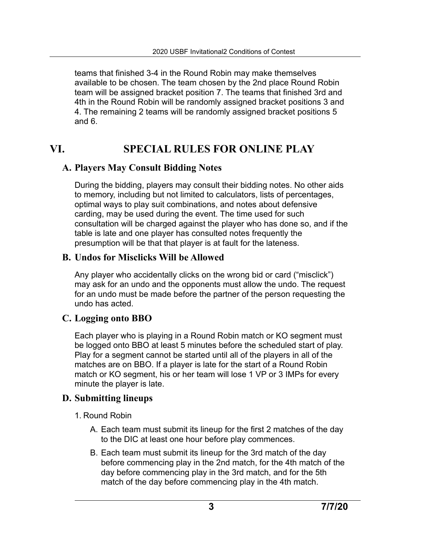teams that finished 3-4 in the Round Robin may make themselves available to be chosen. The team chosen by the 2nd place Round Robin team will be assigned bracket position 7. The teams that finished 3rd and 4th in the Round Robin will be randomly assigned bracket positions 3 and 4. The remaining 2 teams will be randomly assigned bracket positions 5 and 6.

## **VI. SPECIAL RULES FOR ONLINE PLAY**

## <span id="page-4-1"></span>**A. Players May Consult Bidding Notes**

<span id="page-4-0"></span>During the bidding, players may consult their bidding notes. No other aids to memory, including but not limited to calculators, lists of percentages, optimal ways to play suit combinations, and notes about defensive carding, may be used during the event. The time used for such consultation will be charged against the player who has done so, and if the table is late and one player has consulted notes frequently the presumption will be that that player is at fault for the lateness.

## <span id="page-4-2"></span>**B. Undos for Misclicks Will be Allowed**

Any player who accidentally clicks on the wrong bid or card ("misclick") may ask for an undo and the opponents must allow the undo. The request for an undo must be made before the partner of the person requesting the undo has acted.

## <span id="page-4-3"></span>**C. Logging onto BBO**

Each player who is playing in a Round Robin match or KO segment must be logged onto BBO at least 5 minutes before the scheduled start of play. Play for a segment cannot be started until all of the players in all of the matches are on BBO. If a player is late for the start of a Round Robin match or KO segment, his or her team will lose 1 VP or 3 IMPs for every minute the player is late.

## <span id="page-4-4"></span>**D. Submitting lineups**

- 1. Round Robin
	- A. Each team must submit its lineup for the first 2 matches of the day to the DIC at least one hour before play commences.
	- B. Each team must submit its lineup for the 3rd match of the day before commencing play in the 2nd match, for the 4th match of the day before commencing play in the 3rd match, and for the 5th match of the day before commencing play in the 4th match.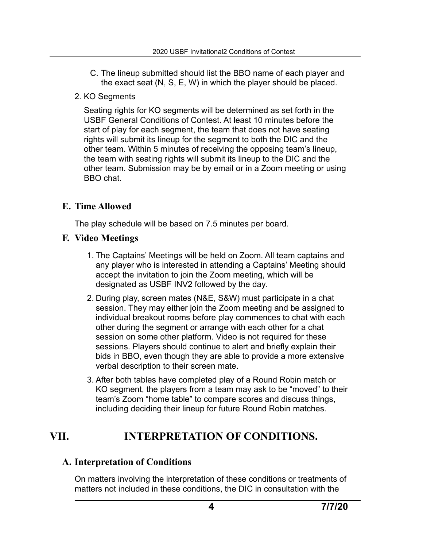- C. The lineup submitted should list the BBO name of each player and the exact seat (N, S, E, W) in which the player should be placed.
- 2. KO Segments

Seating rights for KO segments will be determined as set forth in the USBF General Conditions of Contest. At least 10 minutes before the start of play for each segment, the team that does not have seating rights will submit its lineup for the segment to both the DIC and the other team. Within 5 minutes of receiving the opposing team's lineup, the team with seating rights will submit its lineup to the DIC and the other team. Submission may be by email or in a Zoom meeting or using BBO chat.

## <span id="page-5-0"></span>**E. Time Allowed**

The play schedule will be based on 7.5 minutes per board.

## <span id="page-5-1"></span>**F. Video Meetings**

- 1. The Captains' Meetings will be held on Zoom. All team captains and any player who is interested in attending a Captains' Meeting should accept the invitation to join the Zoom meeting, which will be designated as USBF INV2 followed by the day.
- 2. During play, screen mates (N&E, S&W) must participate in a chat session. They may either join the Zoom meeting and be assigned to individual breakout rooms before play commences to chat with each other during the segment or arrange with each other for a chat session on some other platform. Video is not required for these sessions. Players should continue to alert and briefly explain their bids in BBO, even though they are able to provide a more extensive verbal description to their screen mate.
- 3. After both tables have completed play of a Round Robin match or KO segment, the players from a team may ask to be "moved" to their team's Zoom "home table" to compare scores and discuss things, including deciding their lineup for future Round Robin matches.

## **VII. INTERPRETATION OF CONDITIONS.**

## <span id="page-5-3"></span>**A. Interpretation of Conditions**

<span id="page-5-2"></span>On matters involving the interpretation of these conditions or treatments of matters not included in these conditions, the DIC in consultation with the